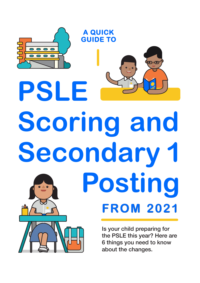

# **Scoring and Secondary 1 Posting FROM 2021**

Is your child preparing for the PSLE this year? Here are 6 things you need to know about the changes.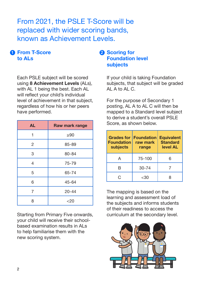From 2021, the PSLE T-Score will be replaced with wider scoring bands, known as Achievement Levels.

# **From T-Score 1 2to ALs**

Each PSLE subject will be scored using **8 Achievement Levels** (ALs), with AL 1 being the best. Each AL will reflect your child's individual level of achievement in that subject, regardless of how his or her peers have performed.

| <b>AL</b> | Raw mark range |
|-----------|----------------|
| 1         | $\geq 90$      |
| 2         | 85-89          |
| 3         | 80-84          |
| 4         | 75-79          |
| 5         | 65-74          |
| 6         | 45-64          |
| 7         | $20 - 44$      |
| 8         | $<$ 20         |

Starting from Primary Five onwards, your child will receive their schoolbased examination results in ALs to help familiarise them with the new scoring system.

# **Pa** Scoring for **Foundation level subjects**

If your child is taking Foundation subjects, that subject will be graded AL A to AL C.

For the purpose of Secondary 1 posting, AL A to AL C will then be mapped to a Standard level subject to derive a student's overall PSLE Score, as shown below.

| <b>Grades for</b><br><b>Foundation</b><br>subjects | <b>Foundation</b><br>raw mark<br>range | <b>Equivalent</b><br><b>Standard</b><br>level AL |
|----------------------------------------------------|----------------------------------------|--------------------------------------------------|
|                                                    | 75-100                                 | 6                                                |
| R                                                  | $30 - 74$                              |                                                  |
| ٦.                                                 | -30                                    |                                                  |

The mapping is based on the learning and assessment load of the subjects and informs students of their readiness to access the curriculum at the secondary level.

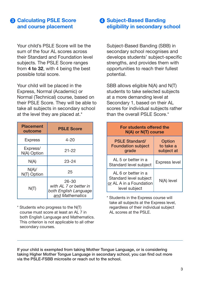# **Calculating PSLE Score 3 4and course placement**

Your child's PSLE Score will be the sum of the four AL scores across their Standard and Foundation level subjects. The PSLE Score ranges from **4 to 32**, with 4 being the best possible total score.

Your child will be placed in the Express, Normal (Academic) or Normal (Technical) course, based on their PSLE Score. They will be able to take all subjects in secondary school at the level they are placed at.\*

| <b>Placement</b><br>outcome | <b>PSLE Score</b>                                                               |
|-----------------------------|---------------------------------------------------------------------------------|
| <b>Express</b>              | $4 - 20$                                                                        |
| Express/<br>N(A) Option     | $21 - 22$                                                                       |
| N(A)                        | $23 - 24$                                                                       |
| N(A)/<br>N(T) Option        | 25                                                                              |
| N(T)                        | $26 - 30$<br>with AL 7 or better in<br>both English Language<br>and Mathematics |

\* Students who progress to the N(T) course must score at least an AL 7 in both English Language and Mathematics. This criterion is not applicable to all other secondary courses.

# **A** Subject-Based Banding **eligibility in secondary school**

Subject-Based Banding (SBB) in secondary school recognises and develops students' subject-specific strengths, and provides them with opportunities to reach their fullest potential.

SBB allows eligible N(A) and N(T) students to take selected subjects at a more demanding level at Secondary 1, based on their AL scores for individual subjects rather than the overall PSLE Score.\*

| For students offered the<br>N(A) or N(T) course                                           |                                   |  |  |
|-------------------------------------------------------------------------------------------|-----------------------------------|--|--|
| <b>PSLE Standard/</b><br><b>Foundation subject</b><br>grade                               | Option<br>to take a<br>subject at |  |  |
| Al 5 or better in a<br>Standard level subject                                             | <b>Express level</b>              |  |  |
| AL 6 or better in a<br>Standard level subject<br>or AL A in a Foundation<br>level subject | N(A) level                        |  |  |

\* Students in the Express course will take all subjects at the Express level, regardless of their individual subject AL scores at the PSLE.

If your child is exempted from taking Mother Tongue Language, or is considering taking Higher Mother Tongue Language in secondary school, you can find out more via the PSLE-FSBB microsite or reach out to the school.